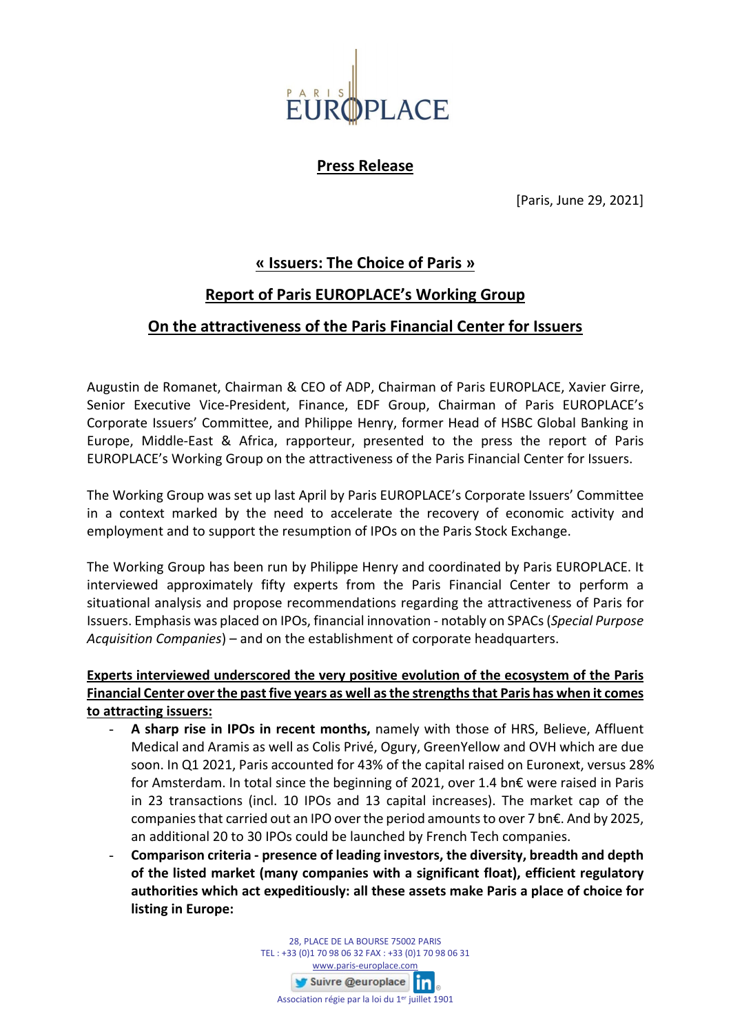

**Press Release**

[Paris, June 29, 2021]

## **« Issuers: The Choice of Paris »**

### **Report of Paris EUROPLACE's Working Group**

### **On the attractiveness of the Paris Financial Center for Issuers**

Augustin de Romanet, Chairman & CEO of ADP, Chairman of Paris EUROPLACE, Xavier Girre, Senior Executive Vice-President, Finance, EDF Group, Chairman of Paris EUROPLACE's Corporate Issuers' Committee, and Philippe Henry, former Head of HSBC Global Banking in Europe, Middle-East & Africa, rapporteur, presented to the press the report of Paris EUROPLACE's Working Group on the attractiveness of the Paris Financial Center for Issuers.

The Working Group was set up last April by Paris EUROPLACE's Corporate Issuers' Committee in a context marked by the need to accelerate the recovery of economic activity and employment and to support the resumption of IPOs on the Paris Stock Exchange.

The Working Group has been run by Philippe Henry and coordinated by Paris EUROPLACE. It interviewed approximately fifty experts from the Paris Financial Center to perform a situational analysis and propose recommendations regarding the attractiveness of Paris for Issuers. Emphasis was placed on IPOs, financial innovation - notably on SPACs (*Special Purpose Acquisition Companies*) – and on the establishment of corporate headquarters.

#### **Experts interviewed underscored the very positive evolution of the ecosystem of the Paris Financial Center over the past five years as well as the strengths that Paris has when it comes to attracting issuers:**

- **A sharp rise in IPOs in recent months,** namely with those of HRS, Believe, Affluent Medical and Aramis as well as Colis Privé, Ogury, GreenYellow and OVH which are due soon. In Q1 2021, Paris accounted for 43% of the capital raised on Euronext, versus 28% for Amsterdam. In total since the beginning of 2021, over 1.4 bn€ were raised in Paris in 23 transactions (incl. 10 IPOs and 13 capital increases). The market cap of the companies that carried out an IPO over the period amounts to over 7 bn $\epsilon$ . And by 2025, an additional 20 to 30 IPOs could be launched by French Tech companies.
- **Comparison criteria - presence of leading investors, the diversity, breadth and depth of the listed market (many companies with a significant float), efficient regulatory authorities which act expeditiously: all these assets make Paris a place of choice for listing in Europe:**

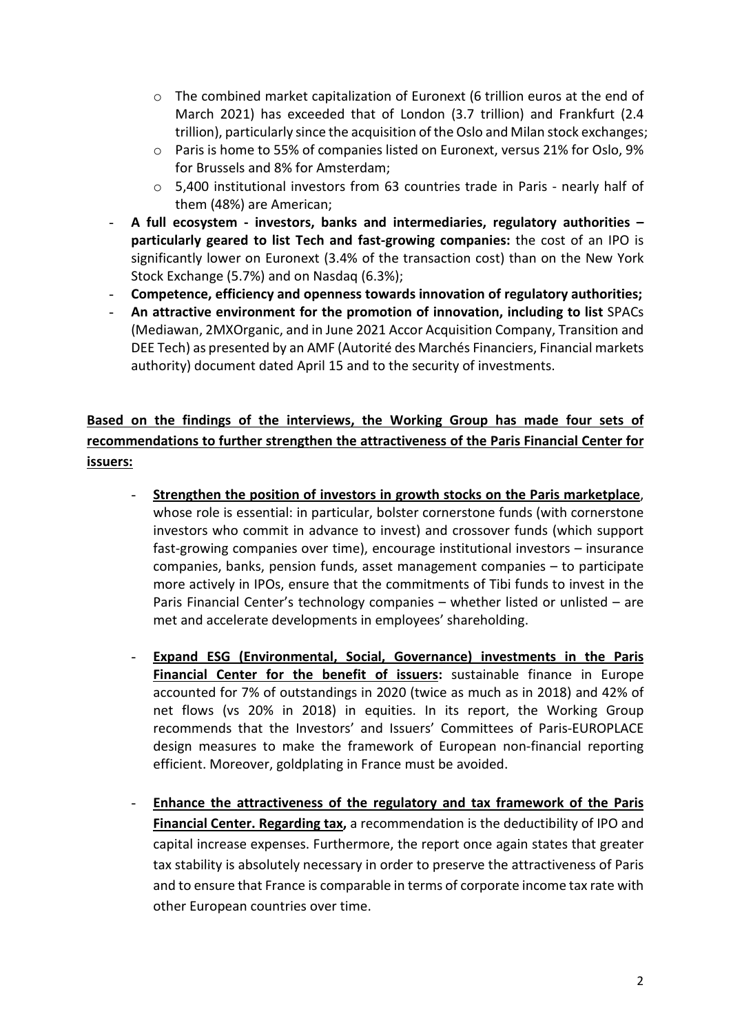- $\circ$  The combined market capitalization of Euronext (6 trillion euros at the end of March 2021) has exceeded that of London (3.7 trillion) and Frankfurt (2.4 trillion), particularly since the acquisition of the Oslo and Milan stock exchanges;
- $\circ$  Paris is home to 55% of companies listed on Euronext, versus 21% for Oslo, 9% for Brussels and 8% for Amsterdam;
- o 5,400 institutional investors from 63 countries trade in Paris nearly half of them (48%) are American;
- **A full ecosystem - investors, banks and intermediaries, regulatory authorities – particularly geared to list Tech and fast-growing companies:** the cost of an IPO is significantly lower on Euronext (3.4% of the transaction cost) than on the New York Stock Exchange (5.7%) and on Nasdaq (6.3%);
- **Competence, efficiency and openness towards innovation of regulatory authorities;**
- **An attractive environment for the promotion of innovation, including to list** SPACs (Mediawan, 2MXOrganic, and in June 2021 Accor Acquisition Company, Transition and DEE Tech) as presented by an AMF (Autorité des Marchés Financiers, Financial markets authority) document dated April 15 and to the security of investments.

# **Based on the findings of the interviews, the Working Group has made four sets of recommendations to further strengthen the attractiveness of the Paris Financial Center for issuers:**

- **Strengthen the position of investors in growth stocks on the Paris marketplace**, whose role is essential: in particular, bolster cornerstone funds (with cornerstone investors who commit in advance to invest) and crossover funds (which support fast-growing companies over time), encourage institutional investors – insurance companies, banks, pension funds, asset management companies – to participate more actively in IPOs, ensure that the commitments of Tibi funds to invest in the Paris Financial Center's technology companies – whether listed or unlisted – are met and accelerate developments in employees' shareholding.
- **Expand ESG (Environmental, Social, Governance) investments in the Paris Financial Center for the benefit of issuers:** sustainable finance in Europe accounted for 7% of outstandings in 2020 (twice as much as in 2018) and 42% of net flows (vs 20% in 2018) in equities. In its report, the Working Group recommends that the Investors' and Issuers' Committees of Paris-EUROPLACE design measures to make the framework of European non-financial reporting efficient. Moreover, goldplating in France must be avoided.
- **Enhance the attractiveness of the regulatory and tax framework of the Paris Financial Center. Regarding tax,** a recommendation is the deductibility of IPO and capital increase expenses. Furthermore, the report once again states that greater tax stability is absolutely necessary in order to preserve the attractiveness of Paris and to ensure that France is comparable in terms of corporate income tax rate with other European countries over time.